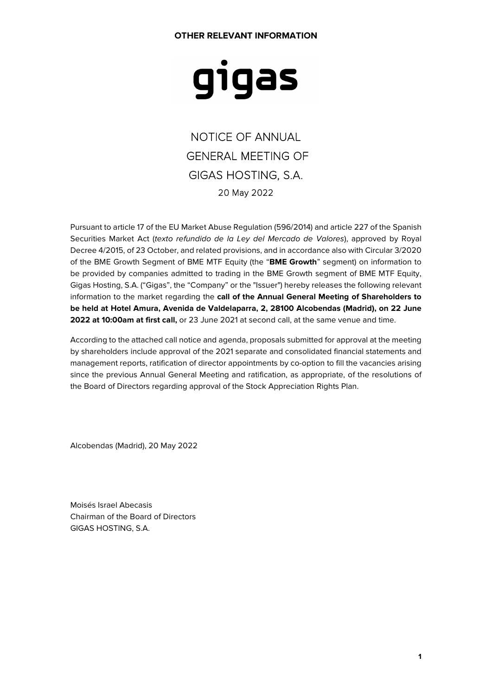#### **OTHER RELEVANT INFORMATION**

# gigas

NOTICE OF ANNUAL GENERAL MEETING OF GIGAS HOSTING, S.A. 20 May 2022

Pursuant to article 17 of the EU Market Abuse Regulation (596/2014) and article 227 of the Spanish Securities Market Act (texto refundido de la Ley del Mercado de Valores), approved by Royal Decree 4/2015, of 23 October, and related provisions, and in accordance also with Circular 3/2020 of the BME Growth Segment of BME MTF Equity (the "**BME Growth**" segment) on information to be provided by companies admitted to trading in the BME Growth segment of BME MTF Equity, Gigas Hosting, S.A. ("Gigas", the "Company" or the "Issuer") hereby releases the following relevant information to the market regarding the **call of the Annual General Meeting of Shareholders to be held at Hotel Amura, Avenida de Valdelaparra, 2, 28100 Alcobendas (Madrid), on 22 June 2022 at 10:00am at first call,** or 23 June 2021 at second call, at the same venue and time.

According to the attached call notice and agenda, proposals submitted for approval at the meeting by shareholders include approval of the 2021 separate and consolidated financial statements and management reports, ratification of director appointments by co-option to fill the vacancies arising since the previous Annual General Meeting and ratification, as appropriate, of the resolutions of the Board of Directors regarding approval of the Stock Appreciation Rights Plan.

Alcobendas (Madrid), 20 May 2022

Moisés Israel Abecasis Chairman of the Board of Directors GIGAS HOSTING, S.A.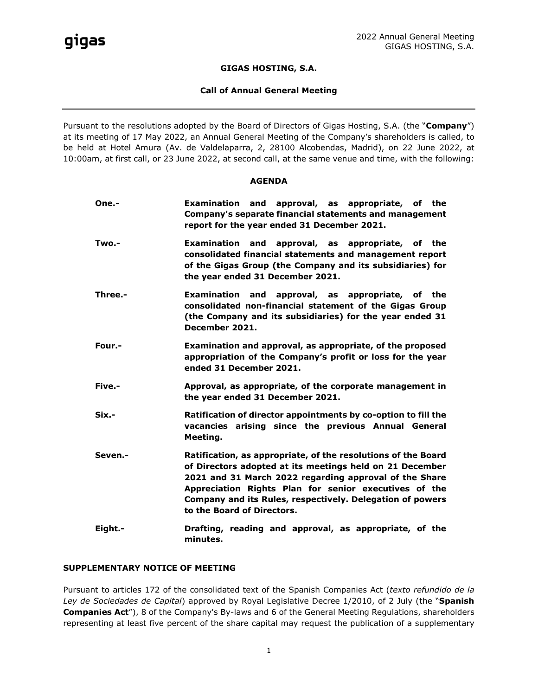#### **GIGAS HOSTING, S.A.**

#### **Call of Annual General Meeting**

Pursuant to the resolutions adopted by the Board of Directors of Gigas Hosting, S.A. (the "**Company**") at its meeting of 17 May 2022, an Annual General Meeting of the Company's shareholders is called, to be held at Hotel Amura (Av. de Valdelaparra, 2, 28100 Alcobendas, Madrid), on 22 June 2022, at 10:00am, at first call, or 23 June 2022, at second call, at the same venue and time, with the following:

#### **AGENDA**

| One.-    | Examination and approval, as appropriate, of the<br>Company's separate financial statements and management<br>report for the year ended 31 December 2021.                                                                                                                                                                               |
|----------|-----------------------------------------------------------------------------------------------------------------------------------------------------------------------------------------------------------------------------------------------------------------------------------------------------------------------------------------|
| Two.-    | Examination and approval, as appropriate, of the<br>consolidated financial statements and management report<br>of the Gigas Group (the Company and its subsidiaries) for<br>the year ended 31 December 2021.                                                                                                                            |
| Three.-  | Examination and approval, as appropriate, of the<br>consolidated non-financial statement of the Gigas Group<br>(the Company and its subsidiaries) for the year ended 31<br>December 2021.                                                                                                                                               |
| Four.-   | Examination and approval, as appropriate, of the proposed<br>appropriation of the Company's profit or loss for the year<br>ended 31 December 2021.                                                                                                                                                                                      |
| Five.-   | Approval, as appropriate, of the corporate management in<br>the year ended 31 December 2021.                                                                                                                                                                                                                                            |
| $Six. -$ | Ratification of director appointments by co-option to fill the<br>vacancies arising since the previous Annual General<br>Meeting.                                                                                                                                                                                                       |
| Seven.-  | Ratification, as appropriate, of the resolutions of the Board<br>of Directors adopted at its meetings held on 21 December<br>2021 and 31 March 2022 regarding approval of the Share<br>Appreciation Rights Plan for senior executives of the<br>Company and its Rules, respectively. Delegation of powers<br>to the Board of Directors. |
| Eight.-  | Drafting, reading and approval, as appropriate, of the<br>minutes.                                                                                                                                                                                                                                                                      |

#### **SUPPLEMENTARY NOTICE OF MEETING**

Pursuant to articles 172 of the consolidated text of the Spanish Companies Act (*texto refundido de la Ley de Sociedades de Capital*) approved by Royal Legislative Decree 1/2010, of 2 July (the "**Spanish Companies Act**"), 8 of the Company's By-laws and 6 of the General Meeting Regulations, shareholders representing at least five percent of the share capital may request the publication of a supplementary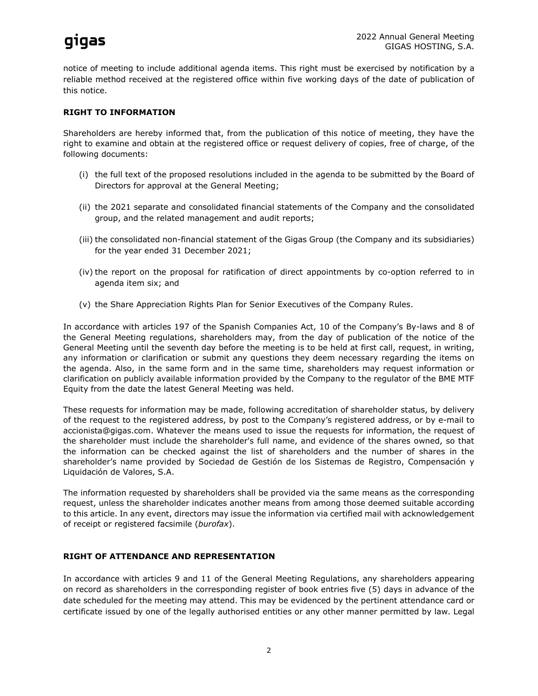## qiqas

notice of meeting to include additional agenda items. This right must be exercised by notification by a reliable method received at the registered office within five working days of the date of publication of this notice.

### **RIGHT TO INFORMATION**

Shareholders are hereby informed that, from the publication of this notice of meeting, they have the right to examine and obtain at the registered office or request delivery of copies, free of charge, of the following documents:

- (i) the full text of the proposed resolutions included in the agenda to be submitted by the Board of Directors for approval at the General Meeting;
- (ii) the 2021 separate and consolidated financial statements of the Company and the consolidated group, and the related management and audit reports;
- (iii) the consolidated non-financial statement of the Gigas Group (the Company and its subsidiaries) for the year ended 31 December 2021;
- (iv) the report on the proposal for ratification of direct appointments by co-option referred to in agenda item six; and
- (v) the Share Appreciation Rights Plan for Senior Executives of the Company Rules.

In accordance with articles 197 of the Spanish Companies Act, 10 of the Company's By-laws and 8 of the General Meeting regulations, shareholders may, from the day of publication of the notice of the General Meeting until the seventh day before the meeting is to be held at first call, request, in writing, any information or clarification or submit any questions they deem necessary regarding the items on the agenda. Also, in the same form and in the same time, shareholders may request information or clarification on publicly available information provided by the Company to the regulator of the BME MTF Equity from the date the latest General Meeting was held.

These requests for information may be made, following accreditation of shareholder status, by delivery of the request to the registered address, by post to the Company's registered address, or by e-mail to accionista@gigas.com. Whatever the means used to issue the requests for information, the request of the shareholder must include the shareholder's full name, and evidence of the shares owned, so that the information can be checked against the list of shareholders and the number of shares in the shareholder's name provided by Sociedad de Gestión de los Sistemas de Registro, Compensación y Liquidación de Valores, S.A.

The information requested by shareholders shall be provided via the same means as the corresponding request, unless the shareholder indicates another means from among those deemed suitable according to this article. In any event, directors may issue the information via certified mail with acknowledgement of receipt or registered facsimile (*burofax*).

#### **RIGHT OF ATTENDANCE AND REPRESENTATION**

In accordance with articles 9 and 11 of the General Meeting Regulations, any shareholders appearing on record as shareholders in the corresponding register of book entries five (5) days in advance of the date scheduled for the meeting may attend. This may be evidenced by the pertinent attendance card or certificate issued by one of the legally authorised entities or any other manner permitted by law. Legal